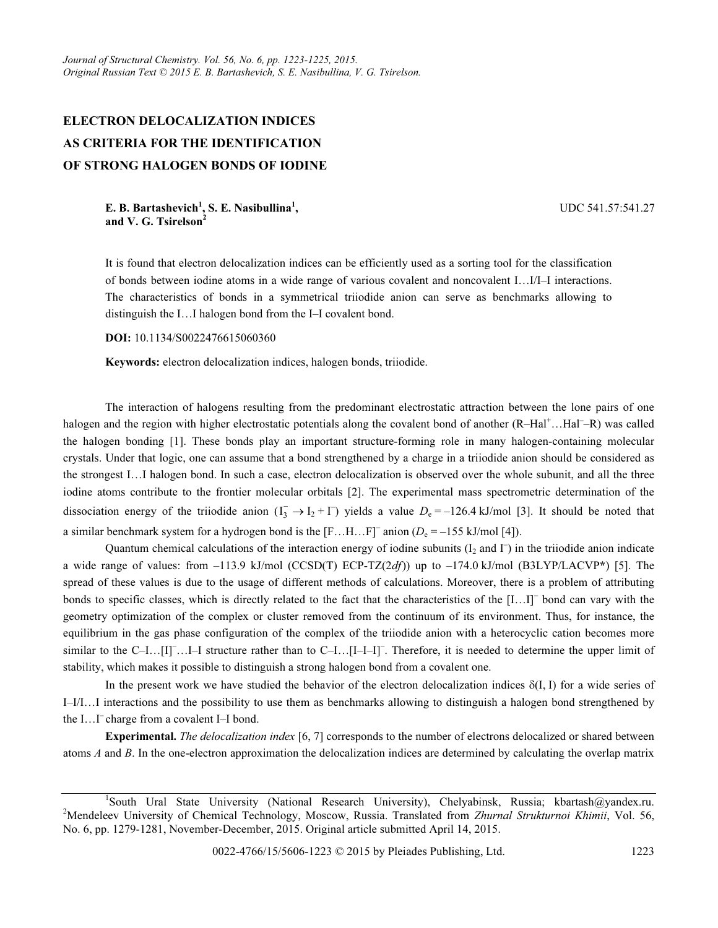## ELECTRON DELOCALIZATION INDICES AS CRITERIA FOR THE IDENTIFICATION OF STRONG HALOGEN BONDS OF IODINE

E. B. Bartashevich<sup>1</sup>, S. E. Nasibullina<sup>1</sup>, and V. G. Tsirelson<sup>2</sup>

UDC 541.57:541.27

It is found that electron delocalization indices can be efficiently used as a sorting tool for the classification of bonds between iodine atoms in a wide range of various covalent and noncovalent I…I/I–I interactions. The characteristics of bonds in a symmetrical triiodide anion can serve as benchmarks allowing to distinguish the I…I halogen bond from the I–I covalent bond.

## DOI: 10.1134/S0022476615060360

Keywords: electron delocalization indices, halogen bonds, triiodide.

The interaction of halogens resulting from the predominant electrostatic attraction between the lone pairs of one halogen and the region with higher electrostatic potentials along the covalent bond of another (R-Hal<sup>+</sup>...Hal<sup>-</sup>-R) was called the halogen bonding [1]. These bonds play an important structure-forming role in many halogen-containing molecular crystals. Under that logic, one can assume that a bond strengthened by a charge in a triiodide anion should be considered as −the strongest I…I halogen bond. In such a case, electron delocalization is observed over the whole subunit, and all the three iodine atoms contribute to the frontier molecular orbitals [2]. The experimental mass spectrometric determination of the dissociation energy of the triiodide anion  $(I_3^- \to I_2 + I^-)$  yields a value  $D_e = -126.4$  kJ/mol [3]. It should be noted that a similar benchmark system for a hydrogen bond is the  $[F...H...F]$ <sup>-</sup> anion  $(D_e = -155 \text{ kJ/mol} [4])$ .

Quantum chemical calculations of the interaction energy of iodine subunits  $(I_2 \text{ and } \Gamma)$  in the triiodide anion indicate a wide range of values: from  $-113.9$  kJ/mol (CCSD(T) ECP-TZ(2df)) up to  $-174.0$  kJ/mol (B3LYP/LACVP\*) [5]. The spread of these values is due to the usage of different methods of calculations. Moreover, there is a problem of attributing bonds to specific classes, which is directly related to the fact that the characteristics of the [I…I]– bond can vary with the geometry optimization of the complex or cluster removed from the continuum of its environment. Thus, for instance, the equilibrium in the gas phase configuration of the complex of the triiodide anion with a heterocyclic cation becomes more similar to the C-I...[I]<sup>-</sup>....<sup>[1]</sup> structure rather than to C-I...[I-I-I]<sup>-</sup>. Therefore, it is needed to determine the upper limit of stability, which makes it possible to distinguish a strong halogen bond from a covalent one.

In the present work we have studied the behavior of the electron delocalization indices  $\delta(I, I)$  for a wide series of I–I/I…I interactions and the possibility to use them as benchmarks allowing to distinguish a halogen bond strengthened by the I…I– charge from a covalent I–I bond.

Experimental. The delocalization index [6, 7] corresponds to the number of electrons delocalized or shared between atoms  $A$  and  $B$ . In the one-electron approximation the delocalization indices are determined by calculating the overlap matrix

<sup>&</sup>lt;sup>1</sup>South Ural State University (National Research University), Chelyabinsk, Russia; kbartash@yandex.ru. <sup>2</sup>Mendeleev University of Chemical Technology, Moscow, Russia. Translated from Zhurnal Strukturnoi Khimii, Vol. 56, No. 6, pp. 1279-1281, November-December, 2015. Original article submitted April 14, 2015.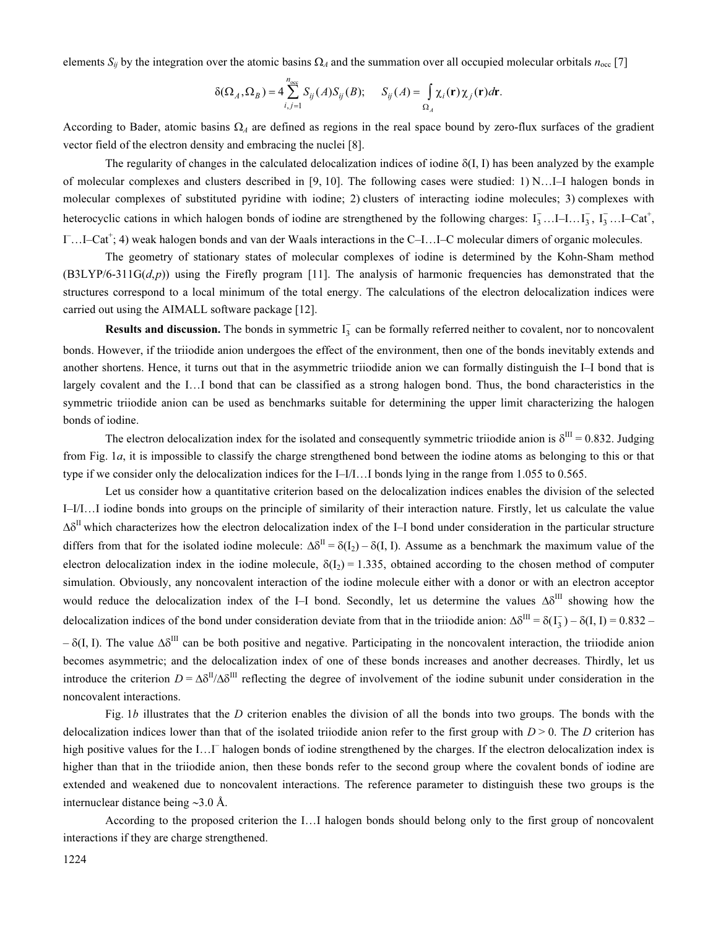elements  $S_{ij}$  by the integration over the atomic basins  $\Omega_A$  and the summation over all occupied molecular orbitals  $n_{\rm occ}$  [7]

$$
\delta(\Omega_A, \Omega_B) = 4 \sum_{i,j=1}^{n_{\text{occ}}} S_{ij}(A) S_{ij}(B); \quad S_{ij}(A) = \int_{\Omega_A} \chi_i(\mathbf{r}) \chi_j(\mathbf{r}) d\mathbf{r}.
$$

According to Bader, atomic basins  $\Omega_A$  are defined as regions in the real space bound by zero-flux surfaces of the gradient vector field of the electron density and embracing the nuclei [8].

The regularity of changes in the calculated delocalization indices of iodine  $\delta(I, I)$  has been analyzed by the example of molecular complexes and clusters described in [9, 10]. The following cases were studied: 1) N…I–I halogen bonds in molecular complexes of substituted pyridine with iodine; 2) clusters of interacting iodine molecules; 3) complexes with heterocyclic cations in which halogen bonds of iodine are strengthened by the following charges:  $I_3^-...I-I...I_3^-, I_3^-...I-Cat^+,$ I...I–Cat<sup>+</sup>; 4) weak halogen bonds and van der Waals interactions in the C–I...I–C molecular dimers of organic molecules.

The geometry of stationary states of molecular complexes of iodine is determined by the Kohn-Sham method  $(B3LYP/6-311G(d,p))$  using the Firefly program [11]. The analysis of harmonic frequencies has demonstrated that the structures correspond to a local minimum of the total energy. The calculations of the electron delocalization indices were carried out using the AIMALL software package [12].

**Results and discussion.** The bonds in symmetric  $I_3^-$  can be formally referred neither to covalent, nor to noncovalent bonds. However, if the triiodide anion undergoes the effect of the environment, then one of the bonds inevitably extends and another shortens. Hence, it turns out that in the asymmetric triiodide anion we can formally distinguish the I–I bond that is largely covalent and the I…I bond that can be classified as a strong halogen bond. Thus, the bond characteristics in the symmetric triiodide anion can be used as benchmarks suitable for determining the upper limit characterizing the halogen bonds of iodine.

The electron delocalization index for the isolated and consequently symmetric triiodide anion is  $\delta^{III} = 0.832$ . Judging from Fig. 1а, it is impossible to classify the charge strengthened bond between the iodine atoms as belonging to this or that type if we consider only the delocalization indices for the I–I/I…I bonds lying in the range from 1.055 to 0.565.

Let us consider how a quantitative criterion based on the delocalization indices enables the division of the selected I–I/I…I iodine bonds into groups on the principle of similarity of their interaction nature. Firstly, let us calculate the value  $\Delta\delta^{\rm II}$  which characterizes how the electron delocalization index of the I–I bond under consideration in the particular structure differs from that for the isolated iodine molecule:  $\Delta \delta^{II} = \delta(I_2) - \delta(I_1 I)$ . Assume as a benchmark the maximum value of the electron delocalization index in the iodine molecule,  $\delta(I_2) = 1.335$ , obtained according to the chosen method of computer simulation. Obviously, any noncovalent interaction of the iodine molecule either with a donor or with an electron acceptor −would reduce the delocalization index of the I–I bond. Secondly, let us determine the values  $\Delta \delta^{III}$  showing how the delocalization indices of the bond under consideration deviate from that in the triiodide anion:  $\Delta \delta^{III} = \delta(I_3^-) - \delta(I, I) = 0.832 -$  δ(I, I). The value  $Δδ$ <sup>III</sup> can be both positive and negative. Participating in the noncovalent interaction, the triiodide anion becomes asymmetric; and the delocalization index of one of these bonds increases and another decreases. Thirdly, let us introduce the criterion  $D = \Delta \delta^{II} / \Delta \delta^{III}$  reflecting the degree of involvement of the iodine subunit under consideration in the noncovalent interactions.

Fig. 1b illustrates that the D criterion enables the division of all the bonds into two groups. The bonds with the delocalization indices lower than that of the isolated triiodide anion refer to the first group with  $D > 0$ . The D criterion has high positive values for the I... I<sup>-</sup> halogen bonds of iodine strengthened by the charges. If the electron delocalization index is higher than that in the triiodide anion, then these bonds refer to the second group where the covalent bonds of iodine are extended and weakened due to noncovalent interactions. The reference parameter to distinguish these two groups is the internuclear distance being ∼3.0 Å.

According to the proposed criterion the I…I halogen bonds should belong only to the first group of noncovalent interactions if they are charge strengthened.